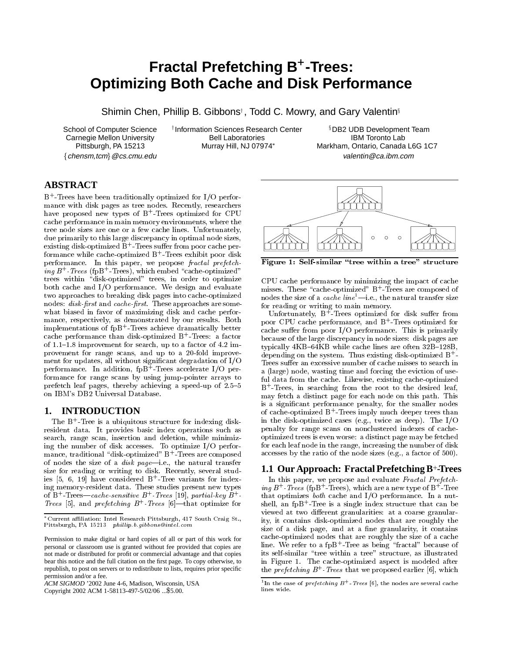# **Fractal Prefetching B<sup>+</sup>-Trees: Optimizing Both Cache and Disk Performance**

Shimin Chen, Phillip B. Gibbons<sup>†</sup>, Todd C. Mowry, and Gary Valentin<sup>§</sup>

School of Computer Science Carnegie Mellon University Bell Laboratories<br>Pittsburgh, PA 15213 Murray Hill, NJ 07974\* Pittsburgh, PA 15213

Information Sciences Research Center **buread in Serve Search Center**  $\frac{1}{2}$ <br>IBM Toronto Lab<br>IBM Toronto Lab DB2 UDB Development Team Markham, Ontario, Canada L6G 1C7 fchensm,tcmg@cs.cmu.edu valentin@ca.ibm.com

# **ABSTRACT**

B+ -Trees have been traditionally optimized for I/O performance with disk pages as tree nodes. Recently, researchers have proposed new types of B<sup>+</sup> -Trees optimized for CPU cache performance in main memory environments, where the tree node sizes are one or a few cache lines. Unfortunately, due primarily to this large discrepancy in optimal node sizes, existing disk-optimized B+-Trees suffer from poor cache performance while cache-optimized B<sup>+</sup> -Trees exhibit poor disk performance. In this paper, we propose fractal prefetch- $\it inq~B^+$  -  $\it Trees$  (  $\it t$  pB  $^+$  -  $\it 1rees$  ) , which embed "cache-optimized" trees within "disk-optimized" trees, in order to optimize both cache and I/O performance. We design and evaluate two approaches to breaking disk pages into cache-optimized nodes: disk-first and cache-first. These approaches are somewhat biased in favor of maximizing disk and cache performance, respectively, as demonstrated by our results. Both implementations of fpB+-Trees achieve dramatically better  $\qquad$ cache performance than disk-optimized B+ -Trees: a factor of 1.1-1.8 improvement for search, up to a factor of 4.2 improvement for range scans, and up to a 20-fold improve ment for updates, all without signicant degradation of I/O performance. In addition, fpB+-frees accelerate I/O per------------------------formance for range scans by using jump-pointer arrays to prefetch leaf pages, thereby achieving a speed-up of  $2.5{-}5$ on IBM's DB2 Universal Database.

# **1. INTRODUCTION**

The B+ -Tree is a ubiquitous structure for indexing diskresident data. It provides basic index operations such as search, range scan, insertion and deletion, while minimizing the number of disk accesses. To optimize I/O perfor- $\max$ e, traditional "disk-optimized" B+ - Trees are composed  $\max$ of nodes the size of a  $disk$   $page$ -i.e., the natural transfer size for reading or writing to disk. Recently, several studies [5, 6, 19] have considered B+ -Tree variants for indexof  $B^+$ -Trees—cache-sensitive  $B^+$ -Trees [19], partial-key  $B^+$ - that Trees (5), and prefetching  $B$  - Trees  $|0|$ —that optimize for s

*ACM SIGMOD* '2002 June 4-6, Madison, Wisconsin, USA

Copyright 2002 ACM 1-58113-497-5/02/06 ...\$5.00.



Figure 1: Self-similar \tree within a tree" structure

CPU cache performance by minimizing the impact of cache misses. These \cache-optimized" B+ -Trees are composed of nodes the size of a *cache line*<sup>1</sup>—i.e., the natural transfer size for reading or writing to main memory.

Unfortunately, B - Irees optimized for disk suffer from poor CPU cache performance, and B+ -Trees optimized for cache suffer from poor  $I/O$  performance. This is primarily because of the large discrepancy in node sizes: disk pages are typically 4KB-64KB while cache lines are often 32B-128B, depending on the system. Thus existing disk-optimized B+ - Trees suffer an excessive number of cache misses to search in a (large) node, wasting time and forcing the eviction of useful data from the cache. Likewise, existing cache-optimized B+ -Trees, in searching from the root to the desired leaf, may fetch a distinct page for each node on this path. This is a signicant performance penalty, for the smaller nodes of cache-optimized B+ - frees imply much deeper trees than in the disk-optimized cases (e.g., twice as deep). The I/O penalty for range scans on nonclustered indexes of cacheoptimized trees is even worse: a distinct page may be fetched for each leaf node in the range, increasing the number of disk accesses by the ratio of the node sizes (e.g., a factor of 500).

# **1.1 Our Approach: Fractal Prefetching B**<sup>+</sup> **-Trees**

 that optimizes both cache and I/O performance. In a nut-In this paper, we propose and evaluate Fractal Prefetch- $\int$   $\frac{1}{B}$   $\frac{1}{B}$   $\frac{1}{B}$   $\frac{1}{B}$   $\frac{1}{B}$   $\frac{1}{B}$   $\frac{1}{B}$   $\frac{1}{B}$   $\frac{1}{B}$   $\frac{1}{B}$   $\frac{1}{B}$   $\frac{1}{B}$   $\frac{1}{B}$   $\frac{1}{B}$   $\frac{1}{B}$   $\frac{1}{B}$   $\frac{1}{B}$   $\frac{1}{B}$   $\frac{1}{B}$   $\frac{1}{B}$   $\frac{1}{B}$   $\frac{1}{$ shell, an tpB+Iree is a single index structure that can be viewed at two different granularities: at a coarse granularity, it contains disk-optimized nodes that are roughly the size of a disk page, and at a fine granularity, it contains cache-optimized nodes that are roughly the size of a cache line. We refer to a fpB<sup>+</sup> -Tree as being \fractal" because of its self-similar "tree within a tree" structure, as illustrated in Figure 1. The cache-optimized aspect is modeled after the  $\emph{prefetchnq }$   $\emph{B}$  - Trees that we proposed earlier  $|{\tt 0}|$ , which

<sup>\*</sup>Current affiliation: Intel Research Pittsburgh, 417 South Craig St., Pittsburgh, PA 15213 phillip.b.gibbons@intel.com

Permission to make digital or hard copies of all or part of this work for personal or classroom use is granted without fee provided that copies are not made or distributed for profit or commercial advantage and that copies bear this notice and the full citation on the first page. To copy otherwise, to republish, to post on servers or to redistribute to lists, requires prior specific permission and/or a fee.

<sup>&</sup>quot;In the case of  $\emph{prefetchng }$   $\emph{B}$ " -  $\emph{Irees}$  [6], the nodes are several cache lines wide.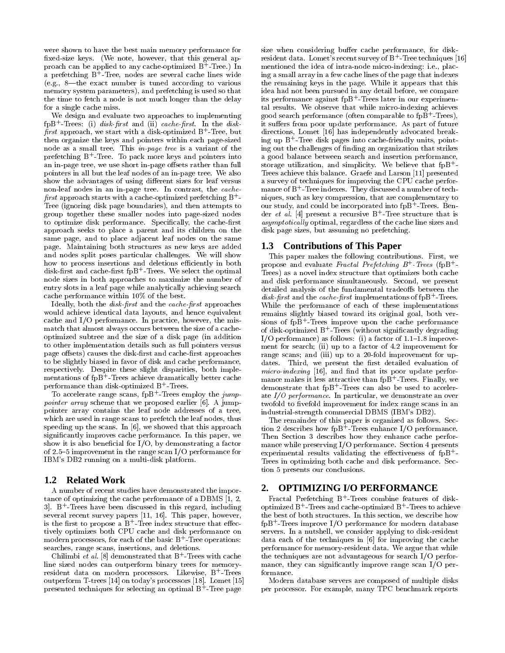were shown to have the best main memory performance for xed-size keys. (We note, however, that this general approach can be applied to any cache-optimized B++Iree.) In the mer a prefetching B+ -Tree, nodes are several cache lines wide (e.g.,  $8$ —the exact number is tuned according to various memory system parameters), and prefetching is used so that the time to fetch a node is not much longer than the delay for a single cache miss.

We design and evaluate two approaches to implementing  $\text{tr}\left( \text{tr}\left( \text{tr}\left( \text{tr}\left( \text{tr}\left( \text{tr}\left( \text{tr}\left( \text{tr}\left( \text{tr}\left( \text{tr}\left( \text{tr}\left( \text{tr}\left( \text{tr}\left( \text{tr}\left( \text{tr}\left( \text{tr}\left( \text{tr}\left( \text{tr}\left( \text{tr}\left( \text{tr}\left( \text{tr}\left( \text{tr}\left( \text{tr}\left( \text{tr}\left( \text{tr}\left( \text{tr}\left( \text{tr}\left( \text{tr}\left( \text{tr}\left( \text{tr}\left( \text{tr}\left( \text{$  $prst$  approach, we start with a disk-optimized B  $^{\circ}$  - Iree, but  $\qquad$  ( then organize the keys and pointers within each page-sized node as a small tree. This in-page tree is a variant of the prefetching B - Iree. To pack more keys and pointers into a g an in-page tree, we use short in-page offsets rather than full pointers in all but the leaf nodes of an in-page tree. We also show the advantages of using different sizes for leaf versus non-leaf nodes in an in-page tree. In contrast, the cache  $prst$  approach starts with a cache-optimized prefetching B  $\pm$  - and the  $\pm$ Tree (ignoring disk page boundaries), and then attempts to group together these smaller nodes into page-sized nodes to optimize disk performance. Specifically, the cache-first approach seeks to place a parent and its children on the same page, and to place adjacent leaf nodes on the same page. Maintaining both structures as new keys are added and nodes split poses particular challenges. We will show how to process insertions and deletions efficiently in both disk-rst and cache-rst fpB<sup>+</sup> -Trees. We select the optimal node sizes in both approaches to maximize the number of entry slots in a leaf page while analytically achieving search cache performance within 10% of the best.

Ideally, both the *disk-first* and the cache-first approaches would achieve identical data layouts, and hence equivalent cache and I/O performance. In practice, however, the mismatch that almost always occurs between the size of a cacheoptimized subtree and the size of a disk page (in addition to other implementation details such as full pointers versus page offsets) causes the disk-first and cache-first approaches to be slightly biased in favor of disk and cache performance, respectively. Despite these slight disparities, both imple mentations of fpB+-frees achieve dramatically better cache  $_{\rm{m}}$ performance than disk-optimized B+-Irees.

To accelerate range scans,  $1pB+Tr$ ees employ the  $jump$ *pointer array* scheme that we proposed earlier  $[0]$ . A jumppointer array contains the leaf node addresses of a tree, which are used in range scans to prefetch the leaf nodes, thus speeding up the scans. In [6], we showed that this approach signicantly improves cache performance. In this paper, we show it is also beneficial for  $I/O$ , by demonstrating a factor of 2.5-5 improvement in the range scan I/O performance for IBM's DB2 running on a multi-disk platform.

## **1.2 Related Work**

A number of recent studies have demonstrated the importance of optimizing the cache performance of a DBMS [1, 2, 3]. B+ -Trees have been discussed in this regard, including several recent survey papers [11, 16]. This paper, however, is the first to propose a B+-iree index structure that effectively optimizes both CPU cache and disk performance on modern processors, for each of the basic B++Iree operations: searches, range scans, insertions, and deletions.

Chilimbi *et al.* [8] demonstrated that B+-Irees with cache  $\qquad$  th line sized nodes can outperform binary trees for memoryresident data on modern processors. Likewise, B -lrees f outperform T-trees [14] on today's processors [18]. Lomet [15] presented techniques for selecting an optimal B+-Iree page === p

size when considering buffer cache performance, for diskresident data. Lomet's recent survey of  $\rm B^{+}$ -Tree techniques [16] mentioned the idea of intra-node micro-indexing: i.e., placing a small array in a few cache lines of the page that indexes the remaining keys in the page. While it appears that this idea had not been pursued in any detail before, we compare its performance against fpB+ -Trees later in our experimental results. We observe that while micro-indexing achieves good search performance (often comparable to fpB+-frees), it suffers from poor update performance. As part of future directions, Lomet [16] has independently advocated breaking up B+ -Tree disk pages into cache-friendly units, pointing out the challenges of nding an organization that strikes a good balance between search and insertion performance, storage utilization, and simplicity. We believe that  $fpB^+$ Trees achieve this balance. Graefe and Larson [11] presented a survey of techniques for improving the CPU cache performance of B+ - Tree indexes. They discussed a number of techniques, such as key compression, that are complementary to our study, and could be incorporated into fpB+-Irees. Bender  $et\ a\iota$ . [4] present a recursive B+- free structure that is asymptotical ly optimal, regardless of the cache line sizes and disk page sizes, but assuming no prefetching.

## **1.3 Contributions of This Paper**

This paper makes the following contributions. First, we propose and evaluate *Fractal Prefetching B*  $\pm$  *Irees* (fpB  $\pm$ Trees) as a novel index structure that optimizes both cache and disk performance simultaneously. Second, we present detailed analysis of the fundamental tradeoffs between the disk-prst and the cache-prst implementations of fpB+-frees. While the performance of each of these implementations remains slightly biased toward its original goal, both ver sions of fpB+ -Trees improve upon the cache performance of disk-optimized B+-irees (without significantly degrading I/O performance) as follows: (i) a factor of  $1.1{\text -}1.8$  improvement for search; (ii) up to a factor of 4.2 improvement for range scans; and (iii) up to a 20-fold improvement for updates. Third, we present the first detailed evaluation of micro-indexing [16], and nd that its poor update performance makes it less attractive than fpB+ -Trees. Finally, we demonstrate that fpB+ -Trees can also be used to accelerate I/O performance. In particular, we demonstrate an over twofold to fivefold improvement for index range scans in an industrial-strength commercial DBMS (IBM's DB2).

The remainder of this paper is organized as follows. Section 2 describes how fpB+ -Trees enhance I/O performance. Then Section 3 describes how they enhance cache performance while preserving I/O performance. Section 4 presents experimental results validating the effectiveness of  $fpB^+$ -Trees in optimizing both cache and disk performance. Section 5 presents our conclusions.

# **2. OPTIMIZING I/O PERFORMANCE**

Fractal Prefetching B+ -Trees combine features of diskoptimized B+-Irees and cache-optimized B+-Irees to achieve the best of both structures. In this section, we describe how fpB+ -Trees improve I/O performance for modern database servers. In a nutshell, we consider applying to disk-resident data each of the techniques in [6] for improving the cache performance for memory-resident data. We argue that while the techniques are not advantageous for search I/O performance, they can significantly improve range scan I/O performance.

Modern database servers are composed of multiple disks per processor. For example, many TPC benchmark reports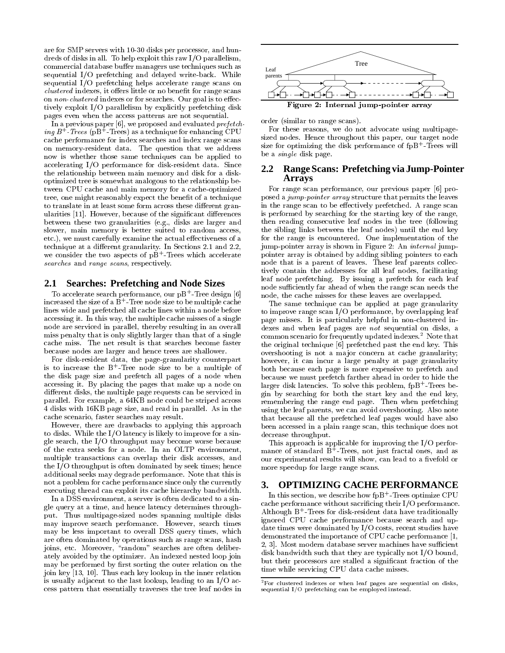are for SMP servers with 10-30 disks per processor, and hun dreds of disks in all. To help exploit this raw I/O parallelism, commercial database buffer managers use techniques such as sequential I/O prefetching and delayed write-back. While sequential I/O prefetching helps accelerate range scans on clustered indexed it official fittie or the scansaction range scanse on non-clustered indexes or for searches. Our goal is to effectively exploit I/O parallelism by explicitly prefetching disk pages even when the access patterns are not sequential.

In a previous paper [6], we proposed and evaluated *prefetch*ing B+ -Trees (pB+ -Trees) as a technique for enhancing CPU cache performance for index searches and index range scans on memory-resident data. The question that we address now is whether those same techniques can be applied to accelerating I/O performance for disk-resident data. Since the relationship between main memory and disk for a diskoptimized tree is somewhat analogous to the relationship between CPU cache and main memory for a cache-optimized tree, one might reasonably expect the benefit of a technique to translate in at least some form across these different granularities [11]. However, because of the significant differences between these two granularities (e.g., disks are larger and slower, main memory is better suited to random access, etc.), we must carefully examine the actual effectiveness of a technique at a different granularity. In Sections 2.1 and 2.2, we consider the two aspects of pB+-irees which accelerate  $\qquad p$ searches and range scans, respectively.

## **2.1 Searches: Prefetching and Node Sizes**

To accelerate search performance, our pB+ -Tree design [6] increased the size of a B+ -Tree node size to be multiple cache lines wide and prefetched all cache lines within a node before accessing it. In this way, the multiple cache misses of a single node are serviced in parallel, thereby resulting in an overall miss penalty that is only slightly larger than that of a single cache miss. The net result is that searches become faster because nodes are larger and hence trees are shallower.

For disk-resident data, the page-granularity counterpart is to increase the B+-Iree node size to be a multiple of the disk page size and prefetch all pages of a node when accessing it. By placing the pages that make up a node on different disks, the multiple page requests can be serviced in parallel. For example, a 64KB node could be striped across 4 disks with 16KB page size, and read in parallel. As in the cache scenario, faster searches may result.

However, there are drawbacks to applying this approach to disks. While the I/O latency is likely to improve for a single search, the I/O throughput may become worse because of the extra seeks for a node. In an OLTP environment, multiple transactions can overlap their disk accesses, and the I/O throughput is often dominated by seek times; hence additional seeks may degrade performance. Note that this is not a problem for cache performance since only the currently 3. executing thread can exploit its cache hierarchy bandwidth.

In a DSS environment, a server is often dedicated to a single query at a time, and hence latency determines throughput. Thus multipage-sized nodes spanning multiple disks may improve search performance. However, search times may be less important to overall DSS query times, which are often dominated by operations such as range scans, hash joins, etc. Moreover, \random" searches are often deliberately avoided by the optimizer. And indexed nested it is a populated loop in its control of the second loop in may be performed by first sorting the outer relation on the join key [13, 10]. Thus each key lookup in the inner relation is usually adjacent to the last lookup, leading to an I/O access pattern that essentially traverses the tree leaf nodes in



order (similar to range scans).

For these reasons, we do not advocate using multipagesized nodes. Hence throughout this paper, our target node size for optimizing the disk performance of fpB++frees will be a single disk page.

# **2.2 Range Scans: Prefetching via Jump-Pointer Arrays**

For range scan performance, our previous paper [6] proposed a jump-pointer array structure that permits the leaves in the range scan to be effectively prefetched. A range scan is performed by searching for the starting key of the range, then reading consecutive leaf nodes in the tree (following the sibling links between the leaf nodes) until the end key for the range is encountered. One implementation of the jump-pointer array is shown in Figure 2: An internal jumppointer array is obtained by adding sibling pointers to each node that is a parent of leaves. These leaf parents collectively contain the addresses for all leaf nodes, facilitating leaf node prefetching. By issuing a prefetch for each leaf node sufficiently far ahead of when the range scan needs the node, the cache misses for these leaves are overlapped.

The same technique can be applied at page granularity to improve range scan I/O performance, by overlapping leaf page misses. It is particularly helpful in non-clustered indexes and when leaf pages are *not* sequential on disks, a common scenario for frequently updated indexes.<sup>2</sup> Note that the original technique [6] prefetched past the end key. This overshooting is not a major concern at cache granularity; however, it can incur a large penalty at page granularity both because each page is more expensive to prefetch and because we must prefetch farther ahead in order to hide the larger disk latencies. To solve this problem, fpB+ -Trees begin by searching for both the start key and the end key, remembering the range end page. Then when prefetching using the leaf parents, we can avoid overshooting. Also note that because all the prefetched leaf pages would have also been accessed in a plain range scan, this technique does not decrease throughput.

This approach is applicable for improving the I/O performance of standard B+ -Trees, not just fractal ones, and as our experimental results will show, can lead to a fivefold or more speedup for large range scans.

# **3. OPTIMIZING CACHE PERFORMANCE**

In this section, we describe how  $\text{tpB}^+$  -Trees optimize  $\text{CPU}$ cache performance without sacricing their I/O performance. Although B+ -Trees for disk-resident data have traditionally ignored CPU cache performance because search and update times were dominated by I/O costs, recent studies have demonstrated the importance of CPU cache performance [1, 2, 3]. Most modern database server machines have sufficient disk bandwidth such that they are typically not I/O bound, but their processors are stalled a signicant fraction of the time while servicing CPU data cache misses.

<sup>2</sup>For clustered indexes or when leaf pages are sequential on disks, sequential I/O prefetching can be employed instead.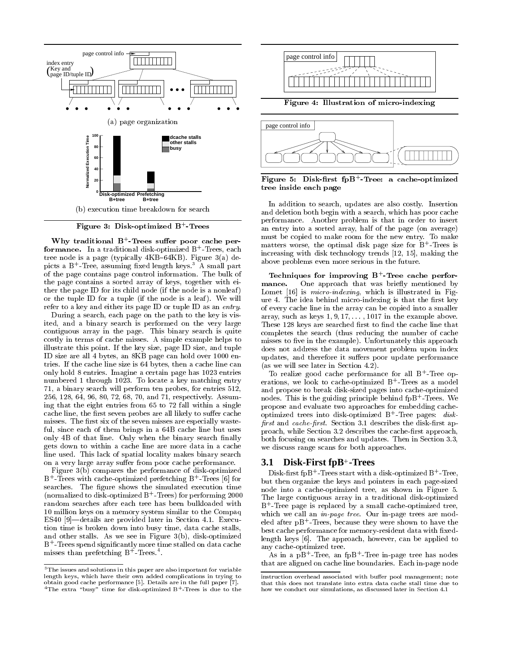

Figure 3: Disk-optimized B+ -Trees

why traditional B - Irees suffer poor cache per**formance.** In a traditional disk-optimized B – frees, each and the tree node is a page (typically  $4KB-64KB$ ). Figure 3(a) depicts a B+-Iree, assuming fixed length keys. " A small part of the page contains page control information. The bulk of the page contains a sorted array of keys, together with either the page ID for its child node (if the node is a nonleaf ) or the tuple ID for a tuple (if the node is a leaf). We will refer to a key and either its page ID or tuple ID as an *entry*.

During a search, each page on the path to the key is visited, and a binary search is performed on the very large contiguous array in the page. This binary search is quite costly in terms of cache misses. A simple example helps to illustrate this point. If the key size, page ID size, and tuple ID size are all 4 bytes, an 8KB page can hold over 1000 entries. If the cache line size is 64 bytes, then a cache line can only hold 8 entries. Imagine a certain page has 1023 entries numbered 1 through 1023. To locate a key matching entry 71, a binary search will perform ten probes, for entries 512, 256, 128, 64, 96, 80, 72, 68, 70, and 71, respectively. Assuming that the eight entries from 65 to 72 fall within a single cache line, the first seven probes are all likely to suffer cache misses. The first six of the seven misses are especially wasteful, since each of them brings in a 64B cache line but uses only 4B of that line. Only when the binary search finally gets down to within a cache line are more data in a cache line used. This lack of spatial locality makes binary search on a very large array suffer from poor cache performance.

Figure  $3(b)$  compares the performance of disk-optimized B+ - Trees with cache-optimized prefetching B+ - Trees [6] for the r searches. The figure shows the simulated execution time (normalized to disk-optimized B  $^+$  - frees) for performing 2000  $^{\circ}\,$  –  $^{\prime}\rm{Th}$ random searches after each tree has been bulkloaded with 10 million keys on a memory system similar to the Compaq ES40  $[9]$ —details are provided later in Section 4.1. Execution time is broken down into busy time, data cache stalls, and other stalls. As we see in Figure 3(b), disk-optimized B+ - Trees spend significantly more time stalled on data cache the set misses than prefetching B++ frees.



Figure 5: Disk-rst fpB+ -Tree: <sup>a</sup> cache-optimized tree inside each page

In addition to search, updates are also costly. Insertion and deletion both begin with a search, which has poor cache performance. Another problem is that in order to insert an entry into a sorted array, half of the page (on average) must be copied to make room for the new entry. To make matters worse, the optimal disk page size for B+ -Trees is increasing with disk technology trends [12, 15], making the above problems even more serious in the future.

Techniques for improving B+ -Tree cache perfor mance.One approach that was briefly mentioned by Lomet [16] is *micro-indexing*, which is illustrated in Figure 4. The idea behind micro-indexing is that the first key of every cache line in the array can be copied into a smaller array, such as keys  $1, 9, 17, \ldots$ , 1017 in the example above. These 128 keys are searched rst to  $\mathcal{A}$  are searched rst to nonderly the cachet line that  $\mathcal{A}$ completes the search (thus reducing the number of cache misses to five in the example). Unfortunately this approach does not address the data movement problem upon index updates, and therefore it suffers poor update performance (as we will see later in Section 4.2).

To realize good cache performance for all B+ -Tree operations, we look to cache-optimized B+ -Trees as a model and propose to break disk-sized pages into cache-optimized nodes. This is the guiding principle behind fpB+ -Trees. We propose and evaluate two approaches for embedding cacheoptimized trees into disk-optimized  $\mathbf{B}$  - Tree pages:  $\it{a}$ iskrst and cache-rst. Section 3.1 describes the disk-rst approach, while Section 3.2 describes the cache-first approach, both focusing on searches and updates. Then in Section 3.3, we discuss range scans for both approaches.

# **3.1 Disk-First fpB**<sup>+</sup> **-Trees**

Disk-first fpB+-Irees start with a disk-optimized B+-Iree, but then organize the keys and pointers in each page-sized node into a cache-optimized tree, as shown in Figure 5. The large contiguous array in a traditional disk-optimized B+ -Tree page is replaced by a small cache-optimized tree, which we call an *in-page tree*. Our in-page trees are modeled after pB+ -Trees, because they were shown to have the best cache performance for memory-resident data with fixedlength keys [6]. The approach, however, can be applied to any cache-optimized tree.

As in a pB+ -Tree, an fpB+ -Tree in-page tree has nodes that are aligned on cache line boundaries. Each in-page node

 $3$ The issues and solutions in this paper are also important for variable length keys, which have their own added complications in trying to obtain good cache performance [5]. Details are in the full paper [7].  $\lceil$  Ine extra "busy" time for disk-optimized B+-Irees is due to the  $\qquad$  I

instruction overhead associated with buffer pool management; note that this does not translate into extra data cache stall time due to how we conduct our simulations, as discussed later in Section 4.1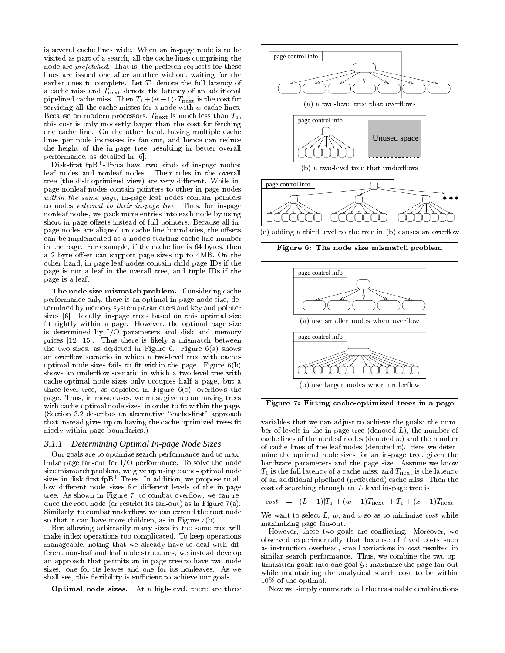is several cache lines wide. When an in-page node is to be visited as part of a search, all the cache lines comprising the node are prefetched. That is, the prefetch requests for these lines are issued one after another without waiting for the earlier ones to complete. Let  $T_1$  denote the full latency of a cache miss and  $T_{\text{next}}$  denote the latency of an additional pipelined cache miss. Then  $T_1 + (w-1)$   $T_{\text{next}}$  is the cost for servicing all the cache misses for a node with w cache lines. Because on modern processors,  $T_{\text{next}}$  is much less than  $T_1$ , this cost is only modestly larger than the cost for fetching one cache line. On the other hand, having multiple cache lines per node increases its fan-out, and hence can reduce the height of the in-page tree, resulting in better overall performance, as detailed in [6].

Disk-rst fpB+ -Trees have two kinds of in-page nodes: leaf nodes and nonleaf nodes. Their roles in the overall tree (the disk-optimized view) are very different. While inpage nonleaf nodes contain pointers to other in-page nodes within the same page, in page leaf notes contained pointers are as to nodes external to their in-page tree. Thus, for in-page nonleaf nodes, we pack more entries into each node by using short in-page offsets instead of full pointers. Because all inpage nodes are aligned on cache line boundaries, the offsets can be implemented as a node's starting cache line number in the page. For example, if the cache line is 64 bytes, then a 2 byte offset can support page sizes up to 4MB. On the other hand, in-page leaf nodes contain child page IDs if the page is not a leaf in the overall tree, and tuple IDs if the page is a leaf.

The node size mismatch problem. Considering cache performance only, there is an optimal in-page node size, determined by memory system parameters and key and pointer sizes [6]. Ideally, in-page trees based on this optimal size fit tightly within a page. However, the optimal page size is determined by I/O parameters and disk and memory prices [12, 15]. Thus there is likely a mismatch between the two sizes, as depicted in Figure  $6$ . Figure  $6(a)$  shows an overflow scenario in which a two-level tree with cacheoptimal node sizes fails to fit within the page. Figure  $6(b)$ shows an underflow scenario in which a two-level tree with cache-optimal node sizes only occupies half a page, but a three-level tree, as depicted in Figure  $6(c)$ , overflows the page. Thus, in most cases, we must give up on having trees with cache-optimal node sizes, in order to fit within the page. (Section 3.2 describes an alternative "cache-first" approach that instead gives up on having the cache-optimized trees fit nicely within page boundaries.)

#### *3.1.1 Determining Optimal In-page Node Sizes*

Our goals are to optimize search performance and to maximize page fan-out for I/O performance. To solve the node size mismatch problem, we give up using cache-optimal node sizes in disk-first fpB+-Irees. In addition, we propose to allow different node sizes for different levels of the in-page tree. As shown in Figure 7, to combat overflow, we can reduce the root node (or restrict its fan-out) as in Figure 7(a). Similarly, to combat underflow, we can extend the root node so that it can have more children, as in Figure 7(b).

But allowing arbitrarily many sizes in the same tree will make index operations too complicated. To keep operations manageable, noting that we already have to deal with different non-leaf and leaf node structures, we instead develop an approach that permits an in-page tree to have two node sizes: one for its leaves and one for its nonleaves. As we shall see, this flexibility is sufficient to achieve our goals.

Optimal node sizes. At a high-level, there are three



Figure 6: The node size mismatch problem



Figure 7: Fitting cache-optimized trees in a page

variables that we can adjust to achieve the goals: the num ber of levels in the in-page tree (denoted  $L$ ), the number of cache lines of the nonleaf nodes (denoted  $w$ ) and the number of cache lines of the leaf nodes (denoted  $x$ ). Here we determine the optimal node sizes for an in-page tree, given the hardware parameters and the page size. Assume we know  $T_1$  is the full latency of a cache miss, and  $T_{\text{next}}$  is the latency of an additional pipelined (prefetched) cache miss. Then the cost of searching through an L level in-page tree is

$$
cost = (L-1)[T_1 + (w-1)T_{\text{next}}] + T_1 + (x-1)T_{\text{next}}
$$

We want to select  $L, w$ , and  $x$  so as to minimize cost while maximizing page fan-out.

However, these two goals are con
icting. Moreover, we observed experimentally that because of fixed costs such as instruction overhead, small variations in cost resulted in similar search performance. Thus, we combine the two optimization goals into one goal  $G$ : maximize the page fan-out while maintaining the analytical search cost to be within 10% of the optimal.

Now we simply enumerate all the reasonable combinations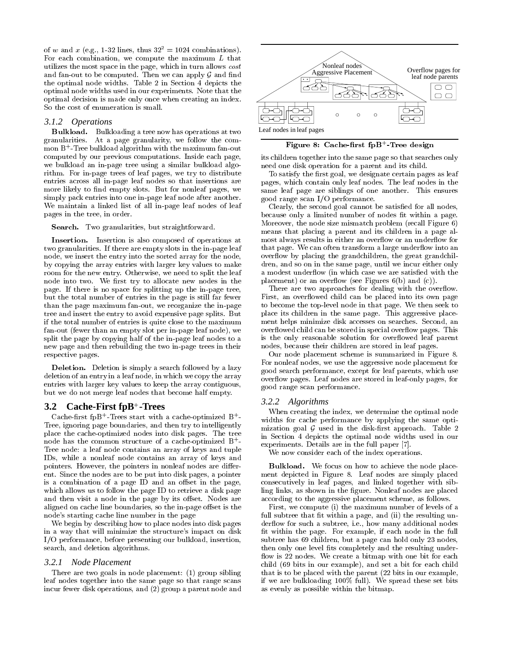of w and x (e.g., 1-32 lines, thus  $32^2 = 1024$  combinations). For each combination, we compute the maximum  $L$  that utilizes the most space in the page, which in turn allows cost and fan-out to be computed. Then we can apply  ${\mathcal G}$  and find the optimal node widths. Table 2 in Section 4 depicts the optimal node widths used in our experiments. Note that the optimal decision is made only once when creating an index. So the cost of enumeration is small.

#### *3.1.2 Operations*

Bulkload. Bulkloading a tree now has operations at two granularities. At a page granularity, we follow the com mon B+ -Tree bulkload algorithm with the maximum fan-out computed by our previous computations. Inside each page, we bulkload an in-page tree using a similar bulkload algorithm. For in-page trees of leaf pages, we try to distribute entries across all in-page leaf nodes so that insertions are more likely to find empty slots. But for nonleaf pages, we simply pack entries into one in-page leaf node after another. We maintain a linked list of all in-page leaf nodes of leaf pages in the tree, in order.

#### search. Two granularities, but straightforward.

Insertion. Insertion is also composed of operations at two granularities. If there are empty slots in the in-page leaf node, we insert the entry into the sorted array for the node, by copying the array entries with larger key values to make room for the new entry. Otherwise, we need to split the leaf node into two. We first try to allocate new nodes in the page. If there is no space for splitting up the in-page tree, but the total number of entries in the page is still far fewer than the page maximum fan-out, we reorganize the in-page tree and insert the entry to avoid expensive page splits. But if the total number of entries is quite close to the maximum fan-out (fewer than an empty slot per in-page leaf node), we split the page by copying half of the in-page leaf nodes to a new page and then rebuilding the two in-page trees in their respective pages.

 $D$  is simple denoted by  $D$  is simple, a search followed by a lazy  $D$ deletion of an entry in a leaf node, in which we copy the array entries with larger key values to keep the array contiguous, but we do not merge leaf nodes that become half empty.

# **3.2 Cache-First fpB**<sup>+</sup> **-Trees**

 $\emph{Cache-nrst }$  tpB - frees start with a cache-optimized B  $-$ Tree, ignoring page boundaries, and then try to intelligently place the cache-optimized nodes into disk pages. The tree node has the common structure of a cache-optimized  $B^+$ -Tree node: a leaf node contains an array of keys and tuple IDs, while a nonleaf node contains an array of keys and pointers. However, the pointers in nonleaf nodes are different. Since the nodes are to be put into disk pages, a pointer is a combination of a page ID and an offset in the page, which allows us to follow the page ID to retrieve a disk page and then visit a node in the page by its offset. Nodes are aligned on cache line boundaries, so the in-page offset is the node's starting cache line number in the page

We begin by describing how to place nodes into disk pages in a way that will minimize the structure's impact on disk I/O performance, before presenting our bulkload, insertion, search, and deletion algorithms.

#### *3.2.1 Node Placement*

There are two goals in node placement: (1) group sibling leaf nodes together into the same page so that range scans incur fewer disk operations, and (2) group a parent node and



Figure 8: Cache-rst fpB+ -Tree design

its children together into the same page so that searches only need one disk operation for a parent and its child.

To satisfy the first goal, we designate certain pages as leaf pages, which contain only leaf nodes. The leaf nodes in the same leaf page are siblings of one another. This ensures good range scan I/O performance.

Clearly, the second goal cannot be satisfied for all nodes, because only a limited number of nodes fit within a page. Moreover, the node size mismatch problem (recall Figure 6) means that placing a parent and its children in a page almost always results in either an overflow or an underflow for that page. We can often transform a large underflow into an over
ow by placing the grandchildren, the great grandchildren, and so on in the same page, until we incur either only a modest underflow (in which case we are satisfied with the placement) or an overflow (see Figures  $6(b)$  and  $(c)$ ).

There are two approaches for dealing with the overflow. First, an overflowed child can be placed into its own page to become the top-level node in that page. We then seek to place its children in the same page. This aggressive place ment helps minimize disk accesses on searches. Second, an overflowed child can be stored in special overflow pages. This is the only reasonable solution for overflowed leaf parent nodes, because their children are stored in leaf pages.

Our node placement scheme is summarized in Figure 8. For nonleaf nodes, we use the aggressive node placement for good search performance, except for leaf parents, which use over
ow pages. Leaf nodes are stored in leaf-only pages, for good range scan performance.

#### *3.2.2 Algorithms*

When creating the index, we determine the optimal node widths for cache performance by applying the same optimization goal  $G$  used in the disk-first approach. Table 2 in Section 4 depicts the optimal node widths used in our experiments. Details are in the full paper [7].

We now consider each of the index operations.

Bulkload. We focus on how to achieve the node place ment depicted in Figure 8. Leaf nodes are simply placed consecutively in leaf pages, and linked together with sibling links, as shown in the figure. Nonleaf nodes are placed according to the aggressive placement scheme, as follows.

First, we compute (i) the maximum number of levels of a full subtree that fit within a page, and (ii) the resulting underflow for such a subtree, i.e., how many additional nodes fit within the page. For example, if each node in the full subtree has 69 children, but a page can hold only 23 nodes, then only one level fits completely and the resulting underflow is 22 nodes. We create a bitmap with one bit for each child (69 bits in our example), and set a bit for each child that is to be placed with the parent (22 bits in our example, if we are bulkloading 100% full). We spread these set bits as evenly as possible within the bitmap.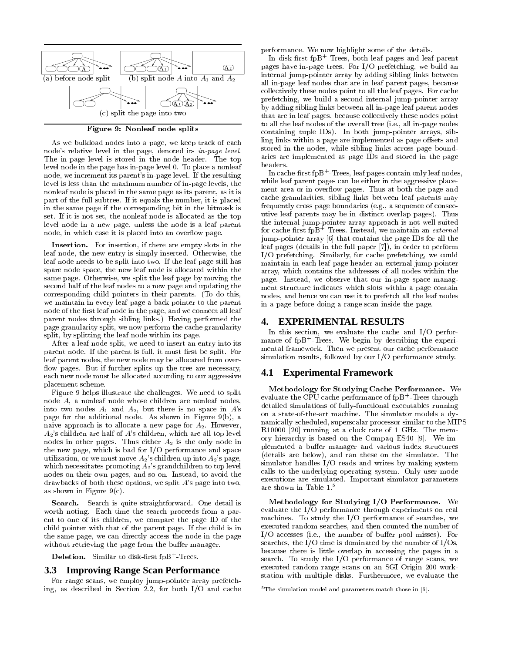

Figure 9: Nonleaf node splits

As we bulkload nodes into a page, we keep track of each node's relative level in the page, denoted its in-page level. The in-page level is stored in the node header. The top level node in the page has in-page level 0. To place a nonleaf node, we increment its parent's in-page level. If the resulting level is less than the maximum number of in-page levels, the nonleaf node is placed in the same page as its parent, as it is part of the full subtree. If it equals the number, it is placed in the same page if the corresponding bit in the bitmask is set. If it is not set, the nonleaf node is allocated as the top level node in a new page, unless the node is a leaf parent node, in which case it is placed into an overflow page.

Insertion. For insertion, if there are empty slots in the leaf node, the new entry is simply inserted. Otherwise, the leaf node needs to be split into two. If the leaf page still has spare node space, the new leaf node is allocated within the same page. Otherwise, we split the leaf page by moving the second half of the leaf nodes to a new page and updating the corresponding child pointers in their parents. (To do this, we maintain in every leaf page a back pointer to the parent node of the first leaf node in the page, and we connect all leaf parent nodes through sibling links.) Having performed the page granularity split, we now perform the cache granularity split, by splitting the leaf node within its page.

After a leaf node split, we need to insert an entry into its parent node. If the parent is full, it must first be split. For leaf parent nodes, the new node may be allocated from over flow pages. But if further splits up the tree are necessary, each new node must be allocated according to our aggressive placement scheme.

Figure 9 helps illustrate the challenges. We need to split node A, a nonleaf node whose children are nonleaf nodes, into two nodes  $A_1$  and  $A_2$ , but there is no space in  $A$ 's page for the additional node. As shown in Figure 9(b), a naive approach is to allocate a new page for  $A_2$ . However,  $A_2$ 's children are half of  $A$ 's children, which are all top level nodes in other pages. Thus either  $A_2$  is the only node in the new page, which is bad for I/O performance and space utilization, or we must move  $A_2$ 's children up into  $A_2$ 's page, which necessitates promoting  $A_2$ 's grandchildren to top level nodes on their own pages, and so on. Instead, to avoid the drawbacks of both these options, we split A's page into two, as shown in Figure  $9(c)$ .

Search. Search is quite straightforward. One detail is worth noting. Each time the search proceeds from a par ent to one of its children, we compare the page ID of the child pointer with that of the parent page. If the child is in the same page, we can directly access the node in the page without retrieving the page from the buffer manager.

Deletion. Similar to disk-rst fpB+ -Trees.

## **3.3 Improving Range Scan Performance**

For range scans, we employ jump-pointer array prefetching, as described in Section 2.2, for both I/O and cache performance. We now highlight some of the details.

In disk-rst fpB+ -Trees, both leaf pages and leaf parent pages have in-page trees. For I/O prefetching, we build an internal jump-pointer array by adding sibling links between all in-page leaf nodes that are in leaf parent pages, because collectively these nodes point to all the leaf pages. For cache prefetching, we build a second internal jump-pointer array by adding sibling links between all in-page leaf parent nodes that are in leaf pages, because collectively these nodes point to all the leaf nodes of the overall tree (i.e., all in-page nodes containing tuple IDs). In both jump-pointer arrays, sibling links within a page are implemented as page offsets and stored in the nodes, while sibling links across page boundaries are implemented as page IDs and stored in the page headers.

In cache-rst fpB+ -Trees, leaf pages contain only leaf nodes, while leaf parent pages can be either in the aggressive place ment area or in overflow pages. Thus at both the page and cache granularities, sibling links between leaf parents may frequently cross page boundaries (e.g., a sequence of consecutive leaf parents may be in distinct overlap pages). Thus the internal jump-pointer array approach is not well suited for cache-first fpB+-Irees. Instead, we maintain an  $\emph{external}$ jump-pointer array [6] that contains the page IDs for all the leaf pages (details in the full paper [7]), in order to perform I/O prefetching. Similarly, for cache prefetching, we could maintain in each leaf page header an external jump-pointer array, which contains the addresses of all nodes within the page. Instead, we observe that our in-page space manag ment structure indicates which slots within a page contain nodes, and hence we can use it to prefetch all the leaf nodes in a page before doing a range scan inside the page.

# **4. EXPERIMENTAL RESULTS**

In this section, we evaluate the cache and I/O performance of fpB+-Trees. We begin by describing the experimental framework. Then we present our cache performance simulation results, followed by our I/O performance study.

# **4.1 Experimental Framework**

Methodology for Studying Cache Performance. We evaluate the CPU cache performance of fpB+-frees through detailed simulations of fully-functional executables running on a state-of-the-art machine. The simulator models a dynamically-scheduled, superscalar processor similar to the MIPS R10000 [20] running at a clock rate of 1 GHz. The memory hierarchy is based on the Compaq ES40 [9]. We implemented a buffer manager and various index structures (details are below), and ran these on the simulator. The simulator handles I/O reads and writes by making system calls to the underlying operating system. Only user mode executions are simulated. Important simulator parameters are shown in Table 1.<sup>5</sup>

Methodology for Studying I/O Performance. We evaluate the I/O performance through experiments on real machines. To study the I/O performance of searches, we executed random searches, and then counted the number of  $I/O$  accesses (i.e., the number of buffer pool misses). For searches, the I/O time is dominated by the number of I/Os, because there is little overlap in accessing the pages in a search. To study the I/O performance of range scans, we executed random range scans on an SGI Origin 200 workstation with multiple disks. Furthermore, we evaluate the

 $5$ The simulation model and parameters match those in  $[6]$ .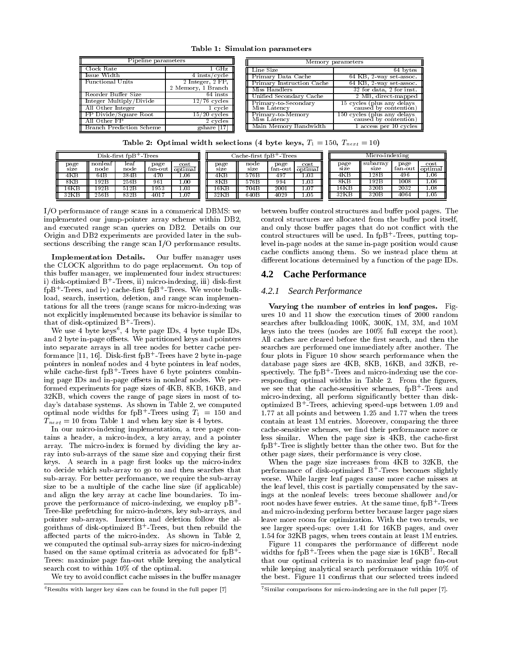Table 1: Simulation parameters

| Pipeline parameters               |                    | Memory parameters                    |                                                      |  |  |  |  |
|-----------------------------------|--------------------|--------------------------------------|------------------------------------------------------|--|--|--|--|
| II Clock Rate                     | 1 GHz              | Line Size                            | 64 bytes                                             |  |  |  |  |
| Issue Width                       | 4 insts/cycle      | Primary Data Cache                   | $64$ KB, $2$ way set assoc.                          |  |  |  |  |
| Functional Units                  | 2 Integer, 2 FP,   | Primary Instruction Cache            | $64$ KB, $2$ way set assoc.                          |  |  |  |  |
|                                   | 2 Memory, 1 Branch | Miss Handlers                        | 32 for data, 2 for inst.                             |  |  |  |  |
| - Reorder Buffer Size             | $64$ insts         | Unified Secondary Cache              | 2 MB, direct mapped                                  |  |  |  |  |
| Integer Multiply/Divide           | $12/76$ cycles     | Primary-to-Secondary<br>Miss Latency | 15 cycles (plus any delays<br>caused by contention)  |  |  |  |  |
| <b>Hall Other Integer</b>         | 1 cycle            |                                      |                                                      |  |  |  |  |
| <b>FP Divide/Square Root</b>      | $15/20$ cycles     | Primary-to-Memory<br>Miss Latency    | 150 cycles (plus any delays<br>caused by contention) |  |  |  |  |
| II. All Other FP.                 | 2 cycles           |                                      |                                                      |  |  |  |  |
| <b>I</b> Branch Prediction Scheme | gshare [17]        | Main Memory Bandwidth                | 1 access per 10 cycles                               |  |  |  |  |

**Table 2:** Optimal width selections (4 byte keys,  $T_1 = 150$ ,  $T_{next} = 10$ )

| $Disk-first fD + Trees$ |                 |              | Cache-first fpB <sup>+</sup> -Trees |                 |                       |              | Micro-indexing  |                 |              |                  |                 |                 |
|-------------------------|-----------------|--------------|-------------------------------------|-----------------|-----------------------|--------------|-----------------|-----------------|--------------|------------------|-----------------|-----------------|
| page<br>sıze            | nonleaf<br>node | leaf<br>node | page<br>fan out                     | cost<br>optimal | $_{\rm page}$<br>size | node<br>size | page<br>fan out | cost<br>optimal | page<br>size | subarrav<br>sıze | page<br>fan out | cost<br>optimal |
| 4KB                     | 64 B            | 384B         | 470                                 | .06             | 4KB                   | 576B         | 497             | $\ldots 03$     | 4KB          | 128B             | 496             | 0.06            |
| $_{\rm 8KB}$            | .92B            | 256B         | 961                                 | .00             | 8KB                   | 576B         | 994             | 1.03            | 8KB          | 192B             | 1008            | 1.06            |
| 16KB                    | .92B            | 512B         | 1953                                | .03             | 16KB                  | 704B         | 2001            | 1.07            | 16KB         | 320 <sub>B</sub> | 2032            | 1.08            |
| 32KB                    | 256B            | 832B         | 401.                                | .07             | 32KB                  | 640E         | 4029            | 1.05            | 32KB         | 320 <sub>B</sub> | 4064            | 1.05            |

I/O performance of range scans in a commerical DBMS: we implemented our jump-pointer array scheme within DB2, and executed range scan queries on DB2. Details on our Origin and DB2 experiments are provided later in the subsections describing the range scan I/O performance results.

Implementation Details. Our buffer manager uses the CLOCK algorithm to do page replacement. On top of this buffer manager, we implemented four index structures: i) disk-optimized B - Irees, ii) micro-indexing, iii) disk-first fpB+ -Trees, and iv) cache-rst fpB<sup>+</sup> -Trees. We wrote bulkload, search, insertion, deletion, and range scan implementations for all the trees (range scans for micro-indexing was not explicitly implemented because its behavior is similar to that of disk-optimized B + Irees).

We use 4 byte keys", 4 byte page IDs, 4 byte tuple IDs, and 2 byte in-page offsets. We partitioned keys and pointers into separate arrays in all tree nodes for better cache performance [11, 10]. Disk-first fpB+-frees have 2 byte in-page to pointers in nonleaf nodes and 4 byte pointers in leaf nodes, while cache-first rpB+-Irees have 6 byte pointers combining page IDs and in-page offsets in nonleaf nodes. We performed experiments for page sizes of 4KB, 8KB, 16KB, and 32KB, which covers the range of page sizes in most of today's database systems. As shown in Table 2, we computed optimal node widths for fpB+-irees using  $T_1 = 150$  and  $T_1/T_1$  $T_{next} = 10$  from Table 1 and when key size is 4 bytes.

In our micro-indexing implementation, a tree page con tains a header, a micro-index, a key array, and a pointer array. The micro-index is formed by dividing the key ar ray into sub-arrays of the same size and copying their first keys. A search in a page first looks up the micro-index to decide which sub-array to go to and then searches that sub-array. For better performance, we require the sub-array size to be a multiple of the cache line size (if applicable) and align the key array at cache line boundaries. To improve the performance of micro-indexing, we employ  $pB^+$ -Tree-like prefetching for micro-indexes, key sub-arrays, and pointer sub-arrays. Insertion and deletion follow the algorithms of disk-optimized B - frees, but then rebuild the se affected parts of the micro-index. As shown in Table 2, we computed the optimal sub-array sizes for micro-indexing based on the same optimal criteria as advocated for  $fpB^+$ . Trees: maximize page fan-out while keeping the analytical search cost to within 10% of the optimal.

We try to avoid conflict cache misses in the buffer manager

between buffer control structures and buffer pool pages. The control structures are allocated from the buffer pool itself, and only those buffer pages that do not conflict with the control structures will be used. In fpB+ -Trees, putting toplevel in-page nodes at the same in-page position would cause cache con
icts among them. So we instead place them at different locations determined by a function of the page IDs.

## **4.2 Cache Performance**

#### *4.2.1 Search Performance*

varying the number of entries in leaf pages. Figures 10 and 11 show the execution times of 2000 random searches after bulkloading 100K, 300K, 1M, 3M, and 10M keys into the trees (nodes are 100% full except the root). All caches are cleared before the first search, and then the searches are performed one immediately after another. The four plots in Figure 10 show search performance when the database page sizes are 4KB, 8KB, 16KB, and 32KB, re spectively. The fpB+ -Trees and micro-indexing use the corresponding optimal widths in Table 2. From the figures, we see that the cache-sensitive schemes, fpB+-irees and micro-indexing, all perform signicantly better than diskoptimized B+ -Trees, achieving speed-ups between 1.09 and 1.77 at all points and between 1.25 and 1.77 when the trees contain at least 1M entries. Moreover, comparing the three cache-sensitive schemes, we find their performance more or less similar. When the page size is 4KB, the cache-first fpB+ -Tree is slightly better than the other two. But for the other page sizes, their performance is very close.

When the page size increases from 4KB to 32KB, the performance of disk-optimized B - frees becomes slightly worse. While larger leaf pages cause more cache misses at the leaf level, this cost is partially compensated by the savings at the nonleaf levels: trees become shallower and/or root nodes have fewer entries. At the same time, fpB+-frees and micro-indexing perform better because larger page sizes leave more room for optimization. With the two trends, we see larger speed-ups: over 1.41 for 16KB pages, and over 1.54 for 32KB pages, when trees contain at least 1M entries.

Figure 11 compares the performance of different node widths for fpB+-frees when the page size is for B-Recall that our optimal criteria is to maximize leaf page fan-out while keeping analytical search performance within 10% of the best. Figure 11 confirms that our selected trees indeed

 $6$ Results with larger key sizes can be found in the full paper [7]

 $7$ Similar comparisons for micro-indexing are in the full paper  $[7]$ .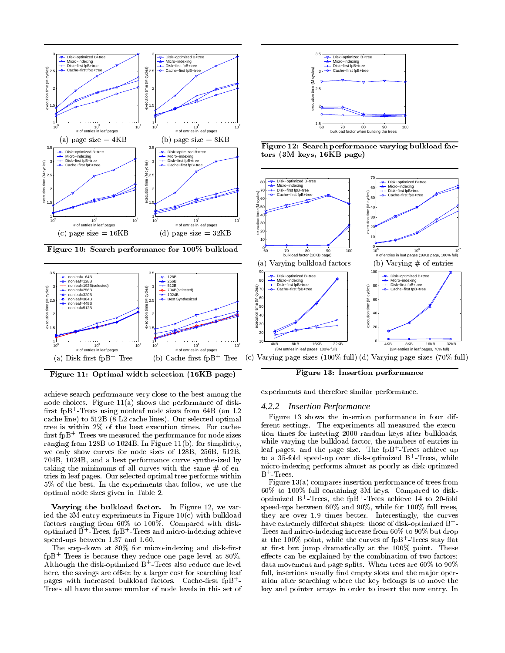





Figure 11: Optimal width selection (16KB page)

achieve search performance very close to the best among the node choices. Figure 11(a) shows the performance of disk rst fpB+ -Trees using nonleaf node sizes from 64B (an L2 cache line) to 512B (8 L2 cache lines). Our selected optimal tree is within 2% of the best execution times. For cache nrst fpB+-frees we measured the performance for node sizes the  $\sim$ ranging from 128B to 1024B. In Figure 11(b), for simplicity, we only show curves for node sizes of 128B, 256B, 512B, 704B, 1024B, and a best performance curve synthesized by taking the minimums of all curves with the same  $#$  of entries in leaf pages. Our selected optimal tree performs within 5% of the best. In the experiments that follow, we use the optimal node sizes given in Table 2.

Varying the bulkload factor. In Figure 12, we varied the 3M-entry experiments in Figure 10(c) with bulkload factors ranging from 60% to 100%. Compared with diskoptimized B - Trees, rpB - Trees and micro-indexing achieve  $\hskip10mm 1$ speed-ups between 1.37 and 1.60.

The step-down at 80% for micro-indexing and disk-first fpB+ -Trees is because they reduce one page level at 80%. Although the disk-optimized B+ -Trees also reduce one level here, the savings are offset by a larger cost for searching leaf pages with increased bulkload factors. Cache-rst fpB+ - Trees all have the same number of node levels in this set of



Figure 12: Search performance varying bulkload factors (3M keys, 16KB page)



Figure 13: Insertion performance

experiments and therefore similar performance.

#### *4.2.2 Insertion Performance*

Figure 13 shows the insertion performance in four different settings. The experiments all measured the execu tion times for inserting 2000 random keys after bulkloads, while varying the bulkload factor, the numbers of entries in leaf pages, and the page size. The fpB+ -Trees achieve up to a 35-fold speed-up over disk-optimized B+ -Trees, while micro-indexing performs almost as poorly as disk-optimzed  $B^+$ -Trees.

Figure 13(a) compares insertion performance of trees from 60% to 100% full containing 3M keys. Compared to diskoptimized B - Irees, the fpB - Irees achieve 14 to 20-fold speed-ups between 60% and 90%, while for 100% full trees, they are over 1.9 times better. Interestingly, the curves have extremely different shapes: those of disk-optimized B+-Trees and micro-indexing increase from 60% to 90% but drop at the 100% point, while the curves of fpB+-irees stay flat at first but jump dramatically at the 100% point. These effects can be explained by the combination of two factors: data movement and page splits. When trees are  $60\%$  to  $90\%$ full, insertions usually find empty slots and the major operation after searching where the key belongs is to move the key and pointer arrays in order to insert the new entry. In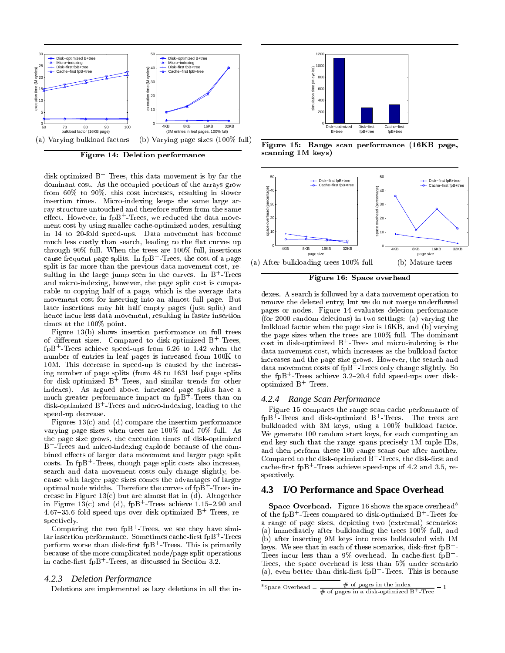

Figure 14: Deletion performance

disk-optimized B+ -Trees, this data movement is by far the dominant cost. As the occupied portions of the arrays grow from 60% to 90%, this cost increases, resulting in slower insertion times. Micro-indexing keeps the same large ar ray structure untouched and therefore suffers from the same<br>effect. However, in fpB<sup>+</sup>-Trees, we reduced the data move effect. However, in fpB+-irees, we reduced the data movement cost by using smaller cache-optimized nodes, resulting in 14 to 20-fold speed-ups. Data movement has become much less costly than search, leading to the flat curves up through 90% full. When the trees are 100% full, insertions cause frequent page splits. In fpB+-frees, the cost of a page  $\rightarrow$  ,  $\rightarrow$ split is far more than the previous data movement cost, resulting in the large jump seen in the curves. In B+-Irees and micro-indexing, however, the page split cost is comparable to copying half of a page, which is the average data movement cost for inserting into an almost full page. But later insertions may hit half empty pages (just split) and hence incur less data movement, resulting in faster insertion times at the 100% point.

Figure 13(b) shows insertion performance on full trees of different sizes. Compared to disk-optimized B - frees,  $\mathop{\rm TpB}\nolimits$  -Trees achieve speed-ups from 6.26 to 1.42 when the  $\mathop{\rm T}$ number of entries in leafpages is increased from 100K to 10M. This decrease in speed-up is caused by the increasing number of page splits (from 48 to 1631 leaf page splits for disk-optimized B - frees, and similar trends for other  $\qquad \qquad$ indexes). As argued above, increased page splits have a much greater performance impact on fpB+-frees than on  $\overline{\phantom{a}}$  2 disk-optimized B+-trees and micro-indexing, leading to the speed-up decrease.

Figures  $13(c)$  and (d) compare the insertion performance varying page sizes when trees are 100% and 70% full. As the page size grows, the execution times of disk-optimized B+ -Trees and micro-indexing explode because of the combined effects of larger data movement and larger page split costs. In fpB+ -Trees, though page split costs also increase, search and data movement costs only change slightly, because with larger page sizes comes the advantages of larger optimal node widths. I herefore the curves of fpB+-frees in-crease in Figure  $13(c)$  but are almost flat in (d). Altogether in Figure 13(c) and (d),  $1pB + T$ rees achieve 1.15-2.90 and  $\qquad \bf S$ 4.67{35.6 fold speed-ups over disk-optimized B+ -Trees, respectively.

Comparing the two fpB+ -Trees, we see they have simi- $\lim_{\epsilon \to 0}$  ration performance. Sometimes cache-first fpB + frees  $\epsilon$ perform worse than disk-first fpB+-Trees. This is primarily  $V_{\rm env}$ because of the more complicated node/page split operations in cache-rst fpB+ -Trees, as discussed in Section 3.2.

#### *4.2.3 Deletion Performance*

Deletions are implemented as lazy deletions in all the in-



Figure 15: Range scan performance (16KB page, scanning 1M keys)



Figure 16: Space overhead

dexes. A search is followed by a data movement operation to remove the deleted entry, but we do not merge underflowed pages or nodes. Figure 14 evaluates deletion performance (for 2000 random deletions) in two settings: (a) varying the bulkload factor when the page size is 16KB, and (b) varying the page sizes when the trees are 100% full. The dominant cost in disk-optimized B - frees and micro-indexing is the data movement cost, which increases as the bulkload factor increases and the page size grows. However, the search and data movement costs of fpB+ -Trees only change slightly. So the fpB+-Irees achieve 3.2-20.4 fold speed-ups over diskoptimized **B** - Irees.

#### *4.2.4 Range Scan Performance*

Figure 15 compares the range scan cache performance of fpB+ -Trees and disk-optimized B+ -Trees. The trees are bulkloaded with 3M keys, using a 100% bulkload factor. We generate 100 random start keys, for each computing an end key such that the range spans precisely 1M tuple IDs, and then perform these 100 range scans one after another. Compared to the disk-optimized B+ -Trees, the disk-rst and cache-rst fpB+ -Trees achieve speed-ups of 4.2 and 3.5, respectively.

## **4.3 I/O Performance and Space Overhead**

Space Overnead. Figure 16 shows the space overhead of the fpB+-irees compared to disk-optimized B+-irees for a range of page sizes, depicting two (extremal) scenarios: (a) immediately after bulkloading the trees 100% full, and (b) after inserting 9M keys into trees bulkloaded with 1M keys. We see that in each of these scenarios, disk-first fpB+-Trees incur less than a 9% overhead. In cache-rst fpB+ - Trees, the space overhead is less than 5% under scenario (a), even better than disk-rst fpB+ -Trees. This is because

Space Overhead  $=\frac{h}{\# \text{ of pages in a disk-optimized B} + \text{Tree}} - 1$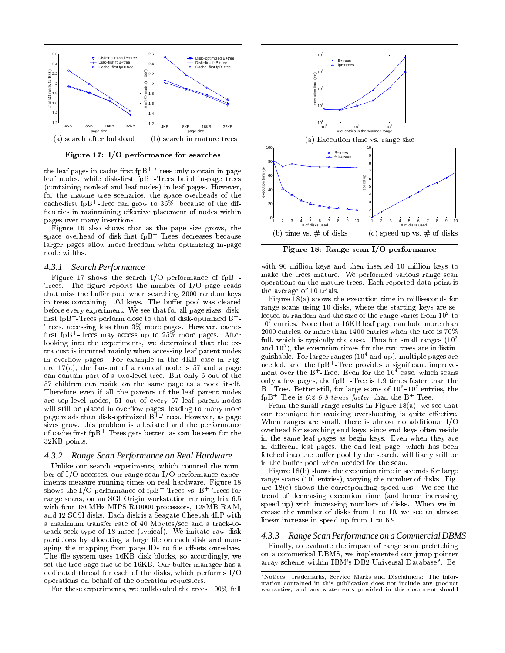

Figure 17: I/O performance for searches

the leaf pages in cache-first fpB+-irees only contain in-page  $\qquad \frac{3}{8}$ leaf nodes, while disk-first fpB+-frees build in-page trees the s (containing nonleaf and leaf nodes) in leaf pages. However, for the mature tree scenarios, the space overheads of the cache-rst fpB+ -Tree can grow to 36%, because of the dif ficulties in maintaining effective placement of nodes within pages over many insertions.

Figure 16 also shows that as the page size grows, the space overhead of disk-rst fpB<sup>+</sup> -Trees decreases because larger pages allow more freedom when optimizing in-page node widths.

#### *4.3.1 Search Performance*

Figure 17 shows the search I/O performance of fpB+ - Trees. The figure reports the number of  $I/O$  page reads that miss the buffer pool when searching 2000 random keys in trees containing 10M keys. The buffer pool was cleared before every experiment. We see that for all page sizes, disk-  $\max$  first fpB  $^+$  - Frees perform close to that of disk-optimized B  $^+$  -  $^ ^ ^-$ Trees, accessing less than 3% more pages. However, cache rst fpB+ -Trees may access up to 25% more pages. After looking into the experiments, we determined that the ex tra cost is incurred mainly when accessing leaf parent nodes in overflow pages. For example in the 4KB case in Figure  $17(a)$ , the fan-out of a nonleaf node is 57 and a page can contain part of a two-level tree. But only 6 out of the 57 children can reside on the same page as a node itself. Therefore even if all the parents of the leaf parent nodes are top-level nodes, 51 out of every 57 leaf parent nodes will still be placed in overflow pages, leading to many more page reads than disk-optimized B+-Irees. However, as page than sizes grow, this problem is alleviated and the performance of cache-first fpB+-frees gets better, as can be seen for the the set of the 32KB points.

#### *4.3.2 Range Scan Performance on Real Hardware*

Unlike our search experiments, which counted the num ber of I/O accesses, our range scan I/O performance experiments measure running times on real hardware. Figure 18 shows the I/O performance of fpB+-frees vs. B+-frees for the state of the state of the state of the state of t range scans, on an SGI Origin workstation running Irix 6.5 with four 180MHz MIPS R10000 processors, 128MB RAM, and 12 SCSI disks. Each disk is a Seagate Cheetah 4LP with a maximum transfer rate of 40 Mbytes/sec and a track-totrack seek type of 18 msec (typical). We imitate raw disk partitions by allocating a large file on each disk and managing the mapping from page IDs to file offsets ourselves. The file system uses 16KB disk blocks, so accordingly, we set the tree page size to be 16KB. Our buffer manager has a dedicated thread for each of the disks, which performs I/O operations on behalf of the operation requesters.

For these experiments, we bulkloaded the trees 100% full



Figure 18: Range scan I/O performance

with 90 million keys and then inserted 10 million keys to make the trees mature. We performed various range scan operations on the mature trees. Each reported data point is the average of 10 trials.

Figure 18(a) shows the execution time in milliseconds for range scans using 10 disks, where the starting keys are selected at random and the size of the range varies from 102 to  $10<sup>7</sup>$  entries. Note that a 16KB leaf page can hold more than 2000 entries, or more than 1400 entries when the tree is 70% full, which is typically the case. Thus for small ranges  $(10^2$ and 103 ), the execution times for the two trees are indistinguishable. For larger ranges  $(10<sup>4</sup>$  and up), multiple pages are needed, and the fpB+ -Tree provides a signicant improve ment over the B+-iree. Even for the 10+ case, which scans only a few pages, the fpB+-iree is 1.9 times faster than the  $B$  - Iree. Better still, for large scans of  $10$  –10 entries, the  $\mathop{\rm rpp}\nolimits$  - Iree is 0.2-0.9  $\mathop{\it tmes}\nolimits$  faster than the B - Iree.

From the small range results in Figure 18(a), we see that our technique for avoiding overshooting is quite effective. When ranges are small, there is almost no additional I/O overhead for searching end keys, since end keys often reside in the same leaf pages as begin keys. Even when they are in different leaf pages, the end leaf page, which has been fetched into the buffer pool by the search, will likely still be in the buffer pool when needed for the scan.

Figure 18(b) shows the execution time in seconds for large range scans  $(10^7 \text{ entries})$ , varying the number of disks. Figure  $18(c)$  shows the corresponding speed-ups. We see the trend of decreasing execution time (and hence increasing speed-up) with increasing numbers of disks. When we increase the number of disks from 1 to 10, we see an almost linear increase in speed-up from 1 to 6.9.

#### *4.3.3 Range Scan Performance on a Commercial DBMS*

Finally, to evaluate the impact of range scan prefetching on a commerical DBMS, we implemented our jump-pointer array scheme within IBM's DB2 Universal Database<sup>9</sup>. Be-

<sup>9</sup>Notices, Trademarks, Service Marks and Disclaimers: The information contained in this publication does not include any product warranties, and any statements provided in this document should